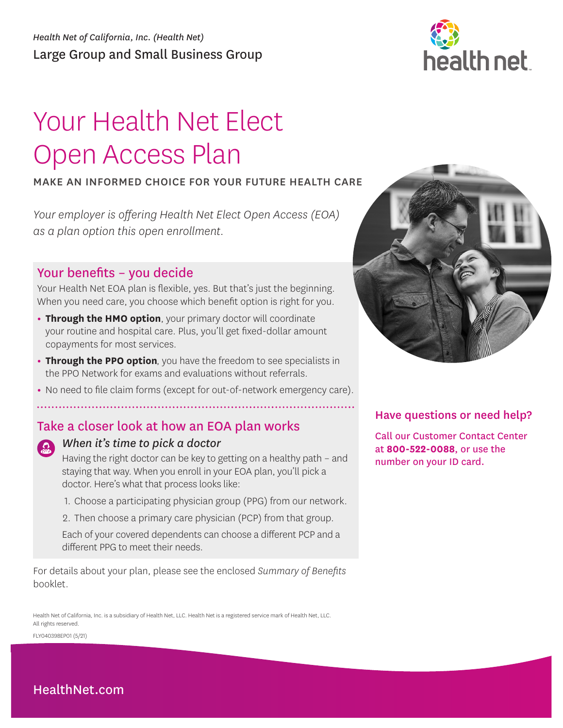

# Your Health Net Elect Open Access Plan

# MAKE AN INFORMED CHOICE FOR YOUR FUTURE HEALTH CARE

*Your employer is offering Health Net Elect Open Access (EOA) as a plan option this open enrollment.* 

# Your benefits – you decide

Your Health Net EOA plan is flexible, yes. But that's just the beginning. When you need care, you choose which benefit option is right for you.

- **• Through the HMO option**, your primary doctor will coordinate your routine and hospital care. Plus, you'll get fixed-dollar amount copayments for most services.
- **• Through the PPO option**, you have the freedom to see specialists in the PPO Network for exams and evaluations without referrals.
- **•** No need to file claim forms (except for out-of-network emergency care).

# Take a closer look at how an EOA plan works



# *When it's time to pick a doctor*

Having the right doctor can be key to getting on a healthy path – and staying that way. When you enroll in your EOA plan, you'll pick a doctor. Here's what that process looks like:

- 1. Choose a participating physician group (PPG) from our network.
- 2. Then choose a primary care physician (PCP) from that group.

Each of your covered dependents can choose a different PCP and a different PPG to meet their needs.

For details about your plan, please see the enclosed *Summary of Benefits*  booklet.

Health Net of California, Inc. is a subsidiary of Health Net, LLC. Health Net is a registered service mark of Health Net, LLC. All rights reserved.

FLY040398EP01 (5/21)



# Have questions or need help?

Call our Customer Contact Center at **800-522-0088**, or use the number on your ID card.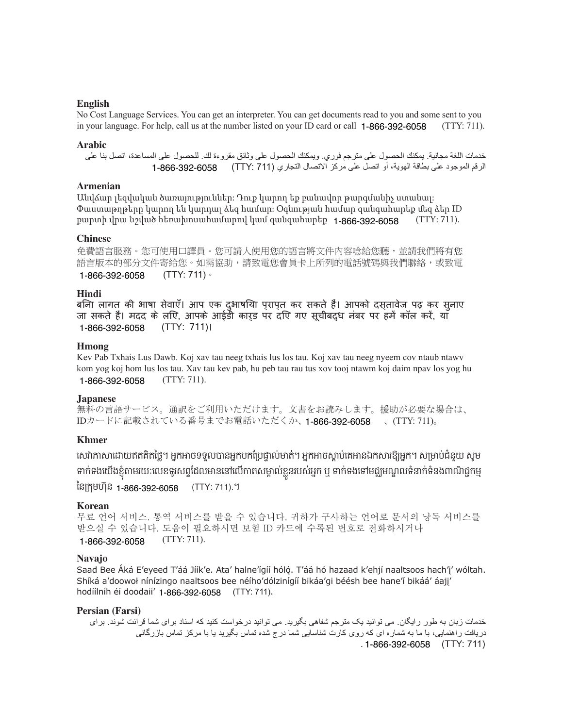## **English**

 $(TTY: 711)$ . No Cost Language Services. You can get an interpreter. You can get documents read to you and some sent to you in your language. For help, call us at the number listed on your ID card or call 1-866-392-6058

#### **Arabic**

خدمات اللغة مجانية. يمكنك الحصول على مترجم فوري. ويمكنك الحصول على وثائق مقروءة لك. للحصول على المساعدة، اتصل بنا على الرقم الموجود على بطاقة الهوية، أو اتصل على مركز الاتصال التجاري (711 :TTY) 6058-092-666-1

## **Armenian**

Անվճար լեզվական ծառայություններ: Դուք կարող եք բանավոր թարգմանիչ ստանալ: Փաստաթղթերը կարող են կարդալ ձեզ համար: Օգնության համար զանգահարեք մեզ ձեր ID քարտի վրա նշված հեռախոսահամարով կամ զանգահարեք 1-866-392-6058 (TTY: 711).

#### **Chinese**

免費語言服務。您可使用口譯員。您可請人使用您的語言將文件內容唸給您聽,並請我們將有您 語言版本的部分文件寄給您。如需協助,請致電您會員卡上所列的電話號碼與我們聯絡,或致電 1-866-392-6058 (TTY: 711)。

#### **Hindi**

बिना लागत की भाषा सेवाएँ। आप एक दुभाषिया प्राप्त कर सकते हैं। आपको दस्तावेज पढ़ कर सुनाए जा सकते हैं। मदद के लिए, आपके आईडी कार्ड पर दिए गए सूचीबद्ध नंबर पर हमें कॉल करें, या 1-866-392-6058 (TTY: 711)।

#### **Hmong**

Kev Pab Txhais Lus Dawb. Koj xav tau neeg txhais lus los tau. Koj xav tau neeg nyeem cov ntaub ntawv kom yog koj hom lus los tau. Xav tau kev pab, hu peb tau rau tus xov tooj ntawm koj daim npav los yog hu 1-866-392-6058 (TTY: 711).

#### **Japanese**

無料の言語サービス。通訳をご利用いただけます。文書をお読みします。援助が必要な場合は、 IDカードに記載されている番号までお電話いただくか、1-866-392-6058 、(TTY: 711)。

#### **Khmer**

សោភាសាដោយឥតគតថ្លេ។ អ្នកអាចទទួលបានអ្នកបកប្រេថ្នាលមាត។ អ្នកអាចស្តាប់គេអានឯកសារឱ្យអ្នក។ សម្រាបជនួយ សូម ទាក់ទងយេងខ្ញុំតាមរយៈលេខទូរសព្ទដេលមាននោលេកាតសម្គាលខ្លួនរបស់អ្នក ឬ ទាក់ទងទោមជ្ឈមណ្ឌលទនាក់ទនង៣ណិជ្ជកម្ម នៃក្រុមហ៊ុន <sub>1-866-392-6058</sub> (TTY: 711).។

#### **Korean**

무료 언어 서비스. 통역 서비스를 받을 수 있습니다. 귀하가 구사하는 언어로 문서의 낭독 서비스를 받으실 수 있습니다. 도움이 필요하시면 보험 ID 카드에 수록된 번호로 전화하시거나 1-866-392-6058 (TTY: 711).

#### **Navajo**

Saad Bee Áká E'eyeed T'áá Jíík'e. Ata' halne'ígíí hóló. T'áá hó hazaad k'ehjí naaltsoos hach'i' wóltah. Shíká a'doowoł nínízingo naaltsoos bee néího'dólzinígíí bikáa'gi béésh bee hane'í bikáá' áajj' hodíílnih éí doodaii' 1-866-392-6058 (TTY: 711).

#### **Persian (Farsi)**

خدمات زبان به طور رايگان. می توانيد يک مترجم شفاهی بگيريد. می توانيد درخواست كنيد كه اسناد برای شما قرائت شوند. برای در بافت ر اهنمايي، با ما به شمار ه اي كه روی كار ت شناسابي شما در ج شده تماس بگير بد با با مر كز تماس باز رگاني . 1-866-392-6058 (TTY: 711)